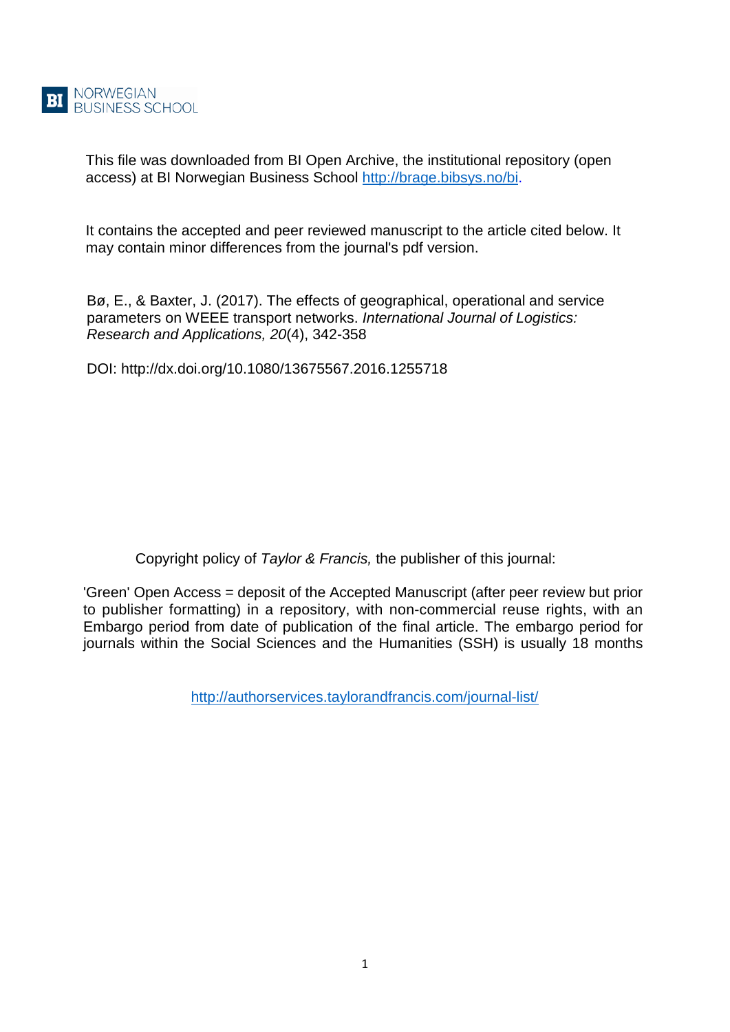This file was downloaded from BI Open Archive, the institutional repository (open access) at BI Norwegian Business School [http://brage.bibsys.no/bi.](http://brage.bibsys.no/bi)

It contains the accepted and peer reviewed manuscript to the article cited below. It may contain minor differences from the journal's pdf version.

Bø, E., & Baxter, J. (2017). The effects of geographical, operational and service parameters on WEEE transport networks. *International Journal of Logistics: Research and Applications, 20*(4), 342-358

DOI: http://dx.doi.org[/10.1080/13675567.2016.1255718](http://dx.doi.org.ezproxy.library.bi.no/10.1080/13675567.2016.1255718)

Copyright policy of *Taylor & Francis,* the publisher of this journal:

'Green' Open Access = deposit of the Accepted Manuscript (after peer review but prior to publisher formatting) in a repository, with non-commercial reuse rights, with an Embargo period from date of publication of the final article. The embargo period for journals within the Social Sciences and the Humanities (SSH) is usually 18 months

<http://authorservices.taylorandfrancis.com/journal-list/>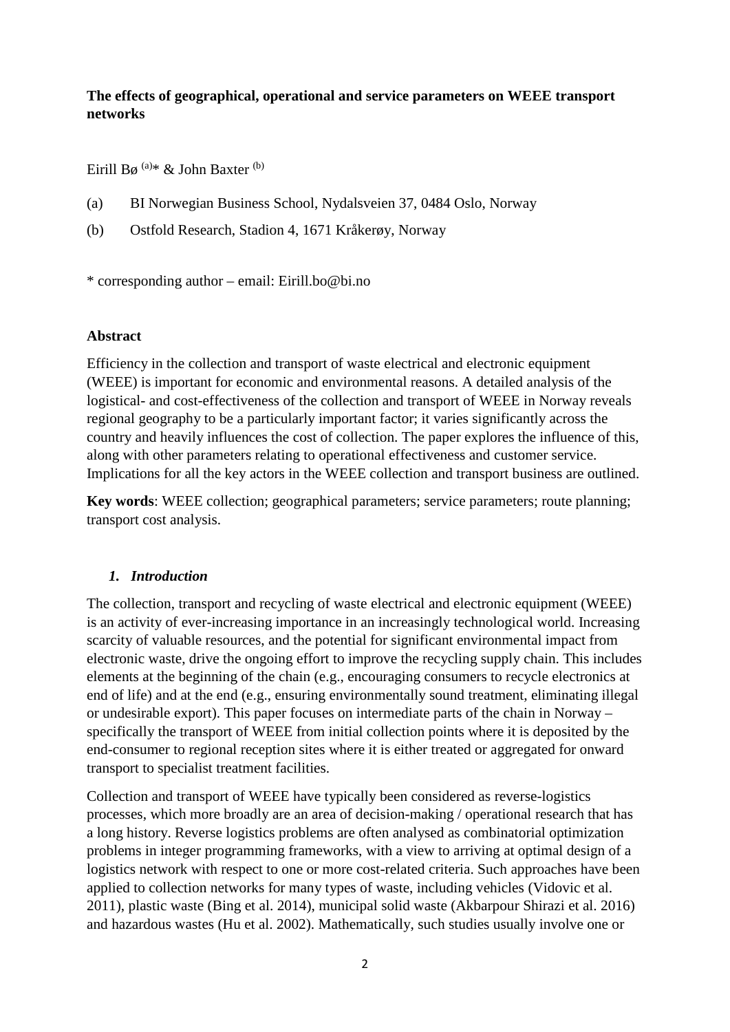# **The effects of geographical, operational and service parameters on WEEE transport networks**

Eirill Bø $^{(a)*}$  & John Baxter  $^{(b)}$ 

- (a) BI Norwegian Business School, Nydalsveien 37, 0484 Oslo, Norway
- (b) Ostfold Research, Stadion 4, 1671 Kråkerøy, Norway

\* corresponding author – email: Eirill.bo@bi.no

### **Abstract**

Efficiency in the collection and transport of waste electrical and electronic equipment (WEEE) is important for economic and environmental reasons. A detailed analysis of the logistical- and cost-effectiveness of the collection and transport of WEEE in Norway reveals regional geography to be a particularly important factor; it varies significantly across the country and heavily influences the cost of collection. The paper explores the influence of this, along with other parameters relating to operational effectiveness and customer service. Implications for all the key actors in the WEEE collection and transport business are outlined.

**Key words**: WEEE collection; geographical parameters; service parameters; route planning; transport cost analysis.

### *1. Introduction*

The collection, transport and recycling of waste electrical and electronic equipment (WEEE) is an activity of ever-increasing importance in an increasingly technological world. Increasing scarcity of valuable resources, and the potential for significant environmental impact from electronic waste, drive the ongoing effort to improve the recycling supply chain. This includes elements at the beginning of the chain (e.g., encouraging consumers to recycle electronics at end of life) and at the end (e.g., ensuring environmentally sound treatment, eliminating illegal or undesirable export). This paper focuses on intermediate parts of the chain in Norway – specifically the transport of WEEE from initial collection points where it is deposited by the end-consumer to regional reception sites where it is either treated or aggregated for onward transport to specialist treatment facilities.

Collection and transport of WEEE have typically been considered as reverse-logistics processes, which more broadly are an area of decision-making / operational research that has a long history. Reverse logistics problems are often analysed as combinatorial optimization problems in integer programming frameworks, with a view to arriving at optimal design of a logistics network with respect to one or more cost-related criteria. Such approaches have been applied to collection networks for many types of waste, including vehicles (Vidovic et al. 2011), plastic waste (Bing et al. 2014), municipal solid waste (Akbarpour Shirazi et al. 2016) and hazardous wastes (Hu et al. 2002). Mathematically, such studies usually involve one or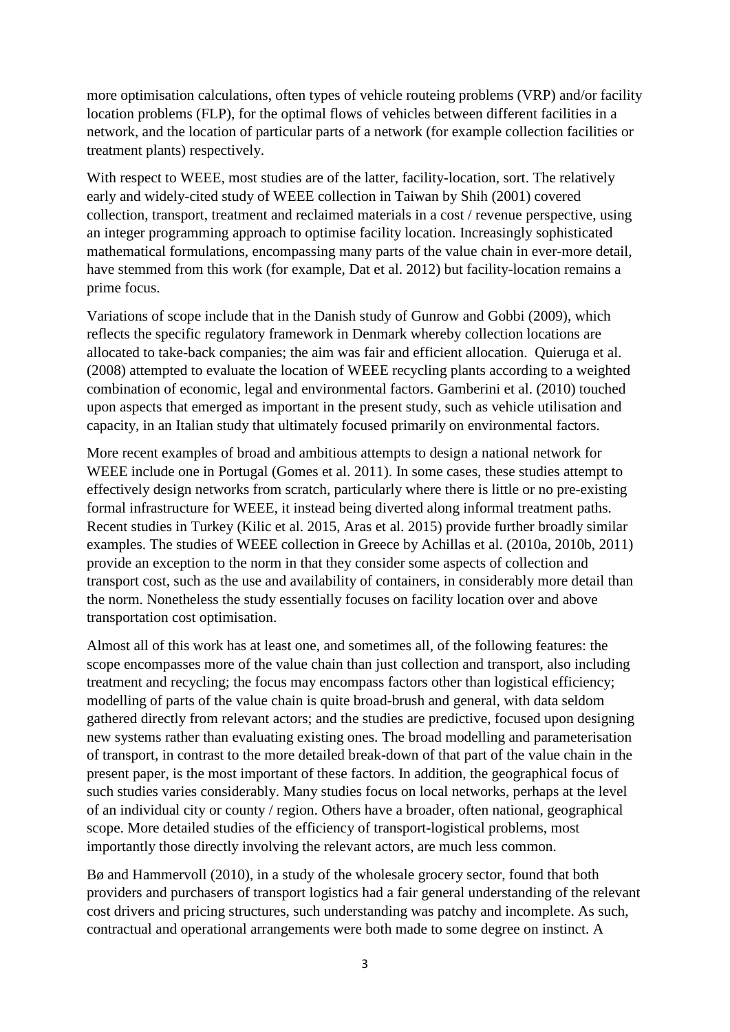more optimisation calculations, often types of vehicle routeing problems (VRP) and/or facility location problems (FLP), for the optimal flows of vehicles between different facilities in a network, and the location of particular parts of a network (for example collection facilities or treatment plants) respectively.

With respect to WEEE, most studies are of the latter, facility-location, sort. The relatively early and widely-cited study of WEEE collection in Taiwan by Shih (2001) covered collection, transport, treatment and reclaimed materials in a cost / revenue perspective, using an integer programming approach to optimise facility location. Increasingly sophisticated mathematical formulations, encompassing many parts of the value chain in ever-more detail, have stemmed from this work (for example, Dat et al. 2012) but facility-location remains a prime focus.

Variations of scope include that in the Danish study of Gunrow and Gobbi (2009), which reflects the specific regulatory framework in Denmark whereby collection locations are allocated to take-back companies; the aim was fair and efficient allocation. Quieruga et al. (2008) attempted to evaluate the location of WEEE recycling plants according to a weighted combination of economic, legal and environmental factors. Gamberini et al. (2010) touched upon aspects that emerged as important in the present study, such as vehicle utilisation and capacity, in an Italian study that ultimately focused primarily on environmental factors.

More recent examples of broad and ambitious attempts to design a national network for WEEE include one in Portugal (Gomes et al. 2011). In some cases, these studies attempt to effectively design networks from scratch, particularly where there is little or no pre-existing formal infrastructure for WEEE, it instead being diverted along informal treatment paths. Recent studies in Turkey (Kilic et al. 2015, Aras et al. 2015) provide further broadly similar examples. The studies of WEEE collection in Greece by Achillas et al. (2010a, 2010b, 2011) provide an exception to the norm in that they consider some aspects of collection and transport cost, such as the use and availability of containers, in considerably more detail than the norm. Nonetheless the study essentially focuses on facility location over and above transportation cost optimisation.

Almost all of this work has at least one, and sometimes all, of the following features: the scope encompasses more of the value chain than just collection and transport, also including treatment and recycling; the focus may encompass factors other than logistical efficiency; modelling of parts of the value chain is quite broad-brush and general, with data seldom gathered directly from relevant actors; and the studies are predictive, focused upon designing new systems rather than evaluating existing ones. The broad modelling and parameterisation of transport, in contrast to the more detailed break-down of that part of the value chain in the present paper, is the most important of these factors. In addition, the geographical focus of such studies varies considerably. Many studies focus on local networks, perhaps at the level of an individual city or county / region. Others have a broader, often national, geographical scope. More detailed studies of the efficiency of transport-logistical problems, most importantly those directly involving the relevant actors, are much less common.

Bø and Hammervoll (2010), in a study of the wholesale grocery sector, found that both providers and purchasers of transport logistics had a fair general understanding of the relevant cost drivers and pricing structures, such understanding was patchy and incomplete. As such, contractual and operational arrangements were both made to some degree on instinct. A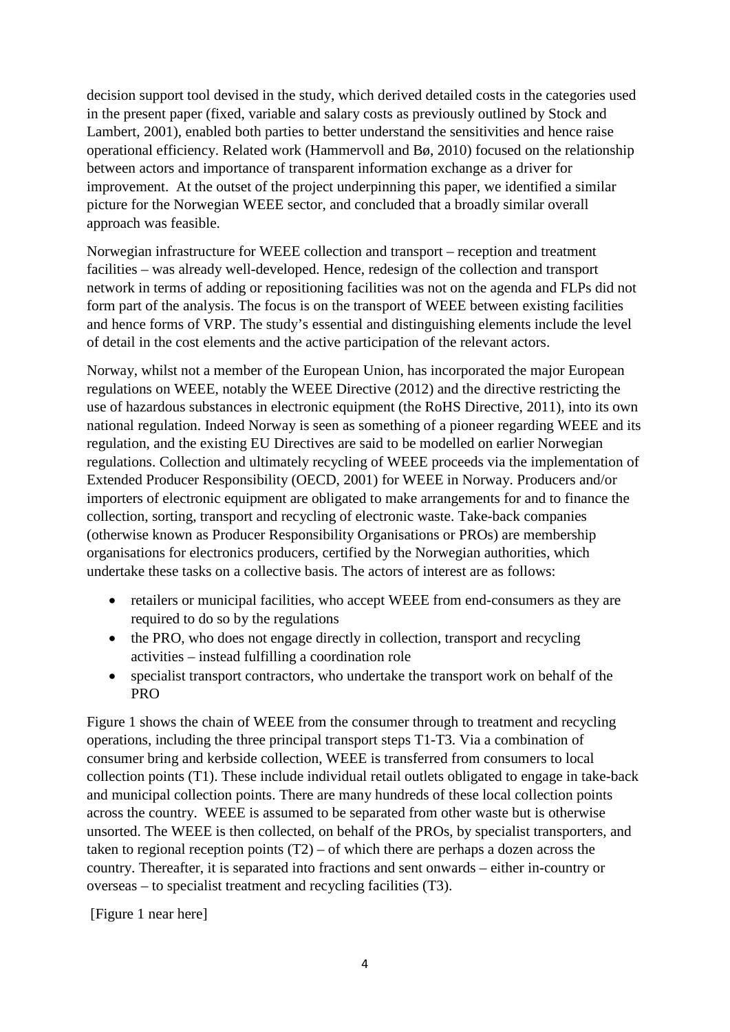decision support tool devised in the study, which derived detailed costs in the categories used in the present paper (fixed, variable and salary costs as previously outlined by Stock and Lambert, 2001), enabled both parties to better understand the sensitivities and hence raise operational efficiency. Related work (Hammervoll and Bø, 2010) focused on the relationship between actors and importance of transparent information exchange as a driver for improvement. At the outset of the project underpinning this paper, we identified a similar picture for the Norwegian WEEE sector, and concluded that a broadly similar overall approach was feasible.

Norwegian infrastructure for WEEE collection and transport – reception and treatment facilities – was already well-developed. Hence, redesign of the collection and transport network in terms of adding or repositioning facilities was not on the agenda and FLPs did not form part of the analysis. The focus is on the transport of WEEE between existing facilities and hence forms of VRP. The study's essential and distinguishing elements include the level of detail in the cost elements and the active participation of the relevant actors.

Norway, whilst not a member of the European Union, has incorporated the major European regulations on WEEE, notably the WEEE Directive (2012) and the directive restricting the use of hazardous substances in electronic equipment (the RoHS Directive, 2011), into its own national regulation. Indeed Norway is seen as something of a pioneer regarding WEEE and its regulation, and the existing EU Directives are said to be modelled on earlier Norwegian regulations. Collection and ultimately recycling of WEEE proceeds via the implementation of Extended Producer Responsibility (OECD, 2001) for WEEE in Norway. Producers and/or importers of electronic equipment are obligated to make arrangements for and to finance the collection, sorting, transport and recycling of electronic waste. Take-back companies (otherwise known as Producer Responsibility Organisations or PROs) are membership organisations for electronics producers, certified by the Norwegian authorities, which undertake these tasks on a collective basis. The actors of interest are as follows:

- retailers or municipal facilities, who accept WEEE from end-consumers as they are required to do so by the regulations
- the PRO, who does not engage directly in collection, transport and recycling activities – instead fulfilling a coordination role
- specialist transport contractors, who undertake the transport work on behalf of the PRO

Figure 1 shows the chain of WEEE from the consumer through to treatment and recycling operations, including the three principal transport steps T1-T3. Via a combination of consumer bring and kerbside collection, WEEE is transferred from consumers to local collection points (T1). These include individual retail outlets obligated to engage in take-back and municipal collection points. There are many hundreds of these local collection points across the country. WEEE is assumed to be separated from other waste but is otherwise unsorted. The WEEE is then collected, on behalf of the PROs, by specialist transporters, and taken to regional reception points  $(T2)$  – of which there are perhaps a dozen across the country. Thereafter, it is separated into fractions and sent onwards – either in-country or overseas – to specialist treatment and recycling facilities (T3).

[Figure 1 near here]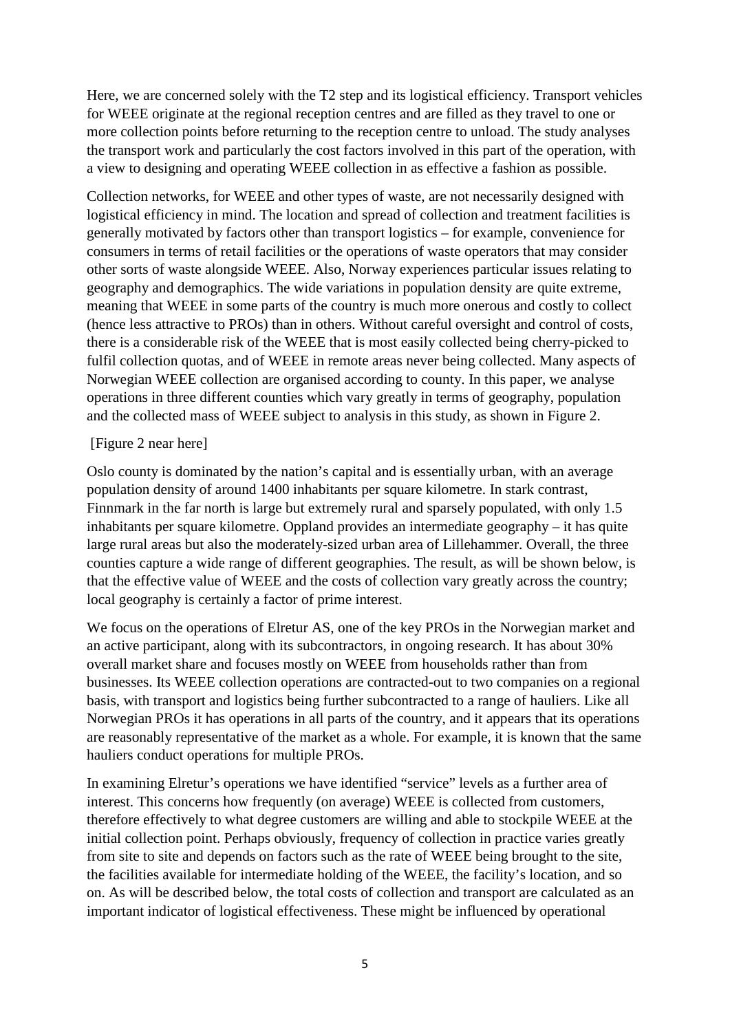Here, we are concerned solely with the T2 step and its logistical efficiency. Transport vehicles for WEEE originate at the regional reception centres and are filled as they travel to one or more collection points before returning to the reception centre to unload. The study analyses the transport work and particularly the cost factors involved in this part of the operation, with a view to designing and operating WEEE collection in as effective a fashion as possible.

Collection networks, for WEEE and other types of waste, are not necessarily designed with logistical efficiency in mind. The location and spread of collection and treatment facilities is generally motivated by factors other than transport logistics – for example, convenience for consumers in terms of retail facilities or the operations of waste operators that may consider other sorts of waste alongside WEEE. Also, Norway experiences particular issues relating to geography and demographics. The wide variations in population density are quite extreme, meaning that WEEE in some parts of the country is much more onerous and costly to collect (hence less attractive to PROs) than in others. Without careful oversight and control of costs, there is a considerable risk of the WEEE that is most easily collected being cherry-picked to fulfil collection quotas, and of WEEE in remote areas never being collected. Many aspects of Norwegian WEEE collection are organised according to county. In this paper, we analyse operations in three different counties which vary greatly in terms of geography, population and the collected mass of WEEE subject to analysis in this study, as shown in Figure 2.

### [Figure 2 near here]

Oslo county is dominated by the nation's capital and is essentially urban, with an average population density of around 1400 inhabitants per square kilometre. In stark contrast, Finnmark in the far north is large but extremely rural and sparsely populated, with only 1.5 inhabitants per square kilometre. Oppland provides an intermediate geography – it has quite large rural areas but also the moderately-sized urban area of Lillehammer. Overall, the three counties capture a wide range of different geographies. The result, as will be shown below, is that the effective value of WEEE and the costs of collection vary greatly across the country; local geography is certainly a factor of prime interest.

We focus on the operations of Elretur AS, one of the key PROs in the Norwegian market and an active participant, along with its subcontractors, in ongoing research. It has about 30% overall market share and focuses mostly on WEEE from households rather than from businesses. Its WEEE collection operations are contracted-out to two companies on a regional basis, with transport and logistics being further subcontracted to a range of hauliers. Like all Norwegian PROs it has operations in all parts of the country, and it appears that its operations are reasonably representative of the market as a whole. For example, it is known that the same hauliers conduct operations for multiple PROs.

In examining Elretur's operations we have identified "service" levels as a further area of interest. This concerns how frequently (on average) WEEE is collected from customers, therefore effectively to what degree customers are willing and able to stockpile WEEE at the initial collection point. Perhaps obviously, frequency of collection in practice varies greatly from site to site and depends on factors such as the rate of WEEE being brought to the site, the facilities available for intermediate holding of the WEEE, the facility's location, and so on. As will be described below, the total costs of collection and transport are calculated as an important indicator of logistical effectiveness. These might be influenced by operational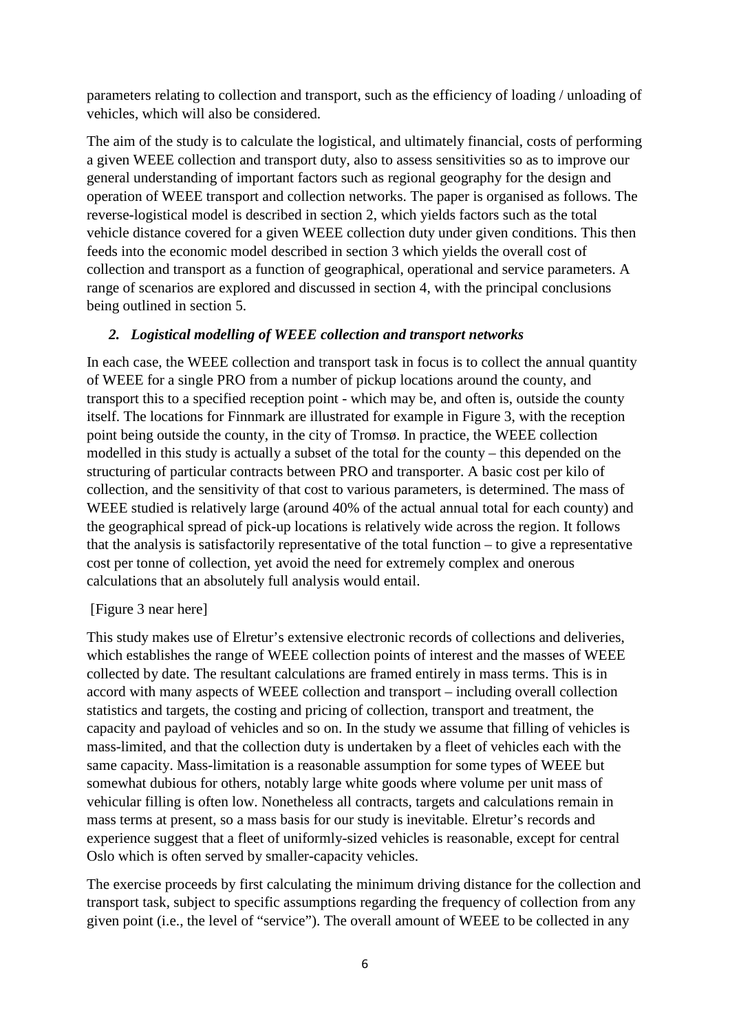parameters relating to collection and transport, such as the efficiency of loading / unloading of vehicles, which will also be considered.

The aim of the study is to calculate the logistical, and ultimately financial, costs of performing a given WEEE collection and transport duty, also to assess sensitivities so as to improve our general understanding of important factors such as regional geography for the design and operation of WEEE transport and collection networks. The paper is organised as follows. The reverse-logistical model is described in section 2, which yields factors such as the total vehicle distance covered for a given WEEE collection duty under given conditions. This then feeds into the economic model described in section 3 which yields the overall cost of collection and transport as a function of geographical, operational and service parameters. A range of scenarios are explored and discussed in section 4, with the principal conclusions being outlined in section 5.

# *2. Logistical modelling of WEEE collection and transport networks*

In each case, the WEEE collection and transport task in focus is to collect the annual quantity of WEEE for a single PRO from a number of pickup locations around the county, and transport this to a specified reception point - which may be, and often is, outside the county itself. The locations for Finnmark are illustrated for example in Figure 3, with the reception point being outside the county, in the city of Tromsø. In practice, the WEEE collection modelled in this study is actually a subset of the total for the county – this depended on the structuring of particular contracts between PRO and transporter. A basic cost per kilo of collection, and the sensitivity of that cost to various parameters, is determined. The mass of WEEE studied is relatively large (around 40% of the actual annual total for each county) and the geographical spread of pick-up locations is relatively wide across the region. It follows that the analysis is satisfactorily representative of the total function – to give a representative cost per tonne of collection, yet avoid the need for extremely complex and onerous calculations that an absolutely full analysis would entail.

### [Figure 3 near here]

This study makes use of Elretur's extensive electronic records of collections and deliveries, which establishes the range of WEEE collection points of interest and the masses of WEEE collected by date. The resultant calculations are framed entirely in mass terms. This is in accord with many aspects of WEEE collection and transport – including overall collection statistics and targets, the costing and pricing of collection, transport and treatment, the capacity and payload of vehicles and so on. In the study we assume that filling of vehicles is mass-limited, and that the collection duty is undertaken by a fleet of vehicles each with the same capacity. Mass-limitation is a reasonable assumption for some types of WEEE but somewhat dubious for others, notably large white goods where volume per unit mass of vehicular filling is often low. Nonetheless all contracts, targets and calculations remain in mass terms at present, so a mass basis for our study is inevitable. Elretur's records and experience suggest that a fleet of uniformly-sized vehicles is reasonable, except for central Oslo which is often served by smaller-capacity vehicles.

The exercise proceeds by first calculating the minimum driving distance for the collection and transport task, subject to specific assumptions regarding the frequency of collection from any given point (i.e., the level of "service"). The overall amount of WEEE to be collected in any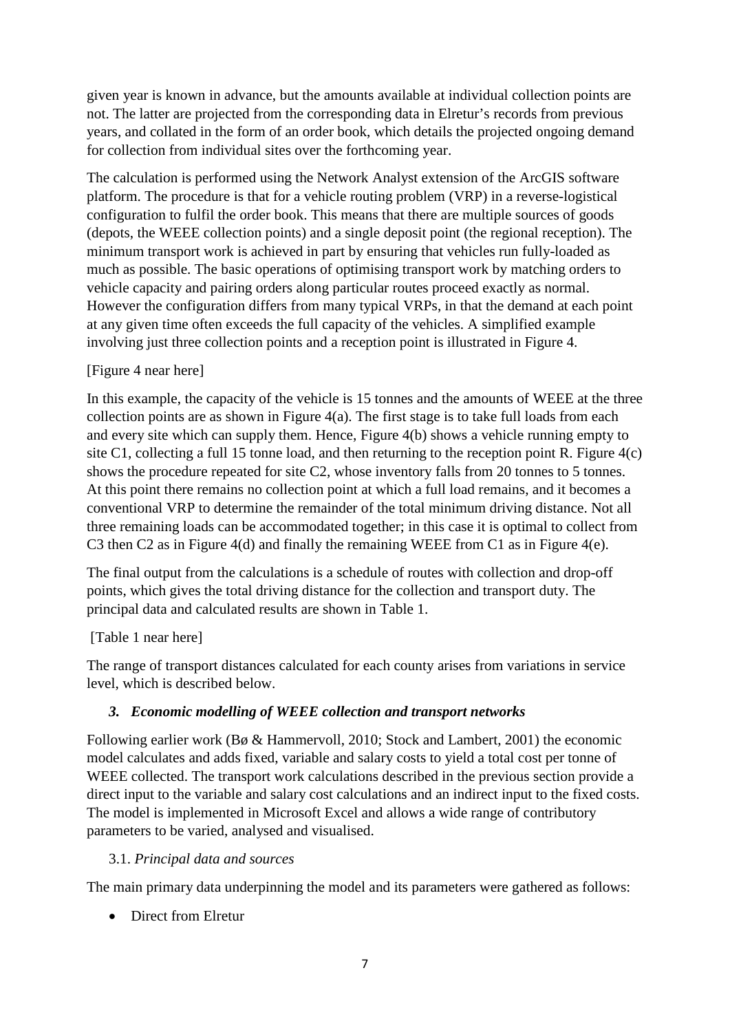given year is known in advance, but the amounts available at individual collection points are not. The latter are projected from the corresponding data in Elretur's records from previous years, and collated in the form of an order book, which details the projected ongoing demand for collection from individual sites over the forthcoming year.

The calculation is performed using the Network Analyst extension of the ArcGIS software platform. The procedure is that for a vehicle routing problem (VRP) in a reverse-logistical configuration to fulfil the order book. This means that there are multiple sources of goods (depots, the WEEE collection points) and a single deposit point (the regional reception). The minimum transport work is achieved in part by ensuring that vehicles run fully-loaded as much as possible. The basic operations of optimising transport work by matching orders to vehicle capacity and pairing orders along particular routes proceed exactly as normal. However the configuration differs from many typical VRPs, in that the demand at each point at any given time often exceeds the full capacity of the vehicles. A simplified example involving just three collection points and a reception point is illustrated in Figure 4.

# [Figure 4 near here]

In this example, the capacity of the vehicle is 15 tonnes and the amounts of WEEE at the three collection points are as shown in Figure  $4(a)$ . The first stage is to take full loads from each and every site which can supply them. Hence, Figure 4(b) shows a vehicle running empty to site C1, collecting a full 15 tonne load, and then returning to the reception point R. Figure 4(c) shows the procedure repeated for site C2, whose inventory falls from 20 tonnes to 5 tonnes. At this point there remains no collection point at which a full load remains, and it becomes a conventional VRP to determine the remainder of the total minimum driving distance. Not all three remaining loads can be accommodated together; in this case it is optimal to collect from C3 then C2 as in Figure 4(d) and finally the remaining WEEE from C1 as in Figure 4(e).

The final output from the calculations is a schedule of routes with collection and drop-off points, which gives the total driving distance for the collection and transport duty. The principal data and calculated results are shown in Table 1.

### [Table 1 near here]

The range of transport distances calculated for each county arises from variations in service level, which is described below.

### *3. Economic modelling of WEEE collection and transport networks*

Following earlier work (Bø & Hammervoll, 2010; Stock and Lambert, 2001) the economic model calculates and adds fixed, variable and salary costs to yield a total cost per tonne of WEEE collected. The transport work calculations described in the previous section provide a direct input to the variable and salary cost calculations and an indirect input to the fixed costs. The model is implemented in Microsoft Excel and allows a wide range of contributory parameters to be varied, analysed and visualised.

### 3.1. *Principal data and sources*

The main primary data underpinning the model and its parameters were gathered as follows:

• Direct from Elretur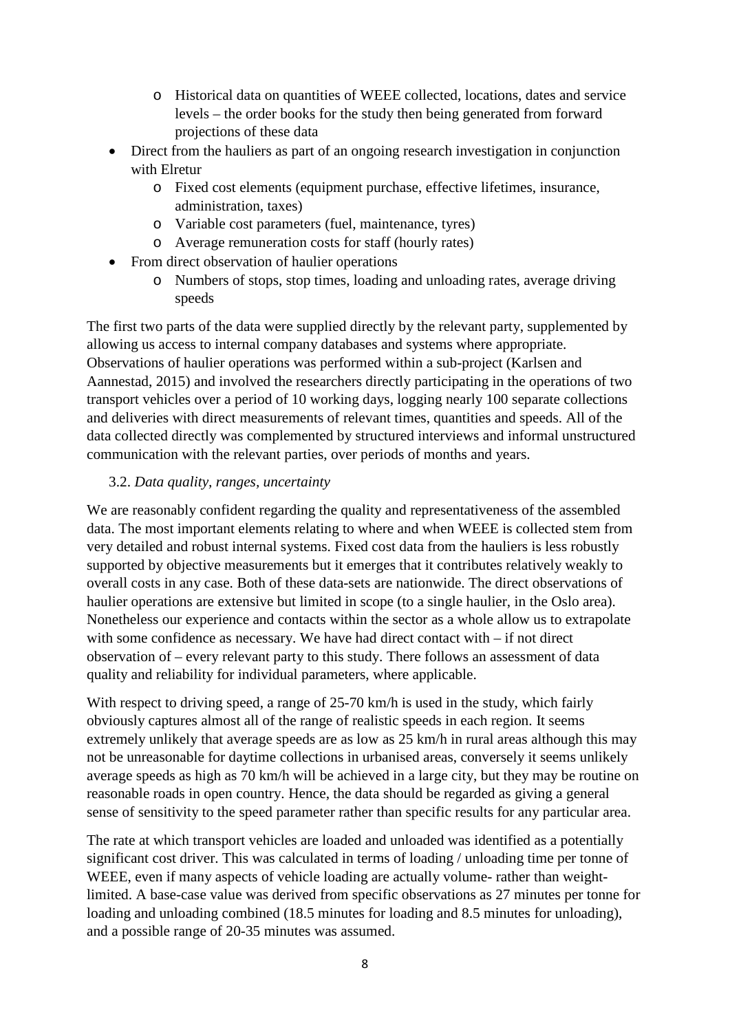- o Historical data on quantities of WEEE collected, locations, dates and service levels – the order books for the study then being generated from forward projections of these data
- Direct from the hauliers as part of an ongoing research investigation in conjunction with Elretur
	- o Fixed cost elements (equipment purchase, effective lifetimes, insurance, administration, taxes)
	- o Variable cost parameters (fuel, maintenance, tyres)
	- o Average remuneration costs for staff (hourly rates)
- From direct observation of haulier operations
	- o Numbers of stops, stop times, loading and unloading rates, average driving speeds

The first two parts of the data were supplied directly by the relevant party, supplemented by allowing us access to internal company databases and systems where appropriate. Observations of haulier operations was performed within a sub-project (Karlsen and Aannestad, 2015) and involved the researchers directly participating in the operations of two transport vehicles over a period of 10 working days, logging nearly 100 separate collections and deliveries with direct measurements of relevant times, quantities and speeds. All of the data collected directly was complemented by structured interviews and informal unstructured communication with the relevant parties, over periods of months and years.

### 3.2. *Data quality, ranges, uncertainty*

We are reasonably confident regarding the quality and representativeness of the assembled data. The most important elements relating to where and when WEEE is collected stem from very detailed and robust internal systems. Fixed cost data from the hauliers is less robustly supported by objective measurements but it emerges that it contributes relatively weakly to overall costs in any case. Both of these data-sets are nationwide. The direct observations of haulier operations are extensive but limited in scope (to a single haulier, in the Oslo area). Nonetheless our experience and contacts within the sector as a whole allow us to extrapolate with some confidence as necessary. We have had direct contact with – if not direct observation of – every relevant party to this study. There follows an assessment of data quality and reliability for individual parameters, where applicable.

With respect to driving speed, a range of 25-70 km/h is used in the study, which fairly obviously captures almost all of the range of realistic speeds in each region. It seems extremely unlikely that average speeds are as low as 25 km/h in rural areas although this may not be unreasonable for daytime collections in urbanised areas, conversely it seems unlikely average speeds as high as 70 km/h will be achieved in a large city, but they may be routine on reasonable roads in open country. Hence, the data should be regarded as giving a general sense of sensitivity to the speed parameter rather than specific results for any particular area.

The rate at which transport vehicles are loaded and unloaded was identified as a potentially significant cost driver. This was calculated in terms of loading / unloading time per tonne of WEEE, even if many aspects of vehicle loading are actually volume- rather than weightlimited. A base-case value was derived from specific observations as 27 minutes per tonne for loading and unloading combined (18.5 minutes for loading and 8.5 minutes for unloading), and a possible range of 20-35 minutes was assumed.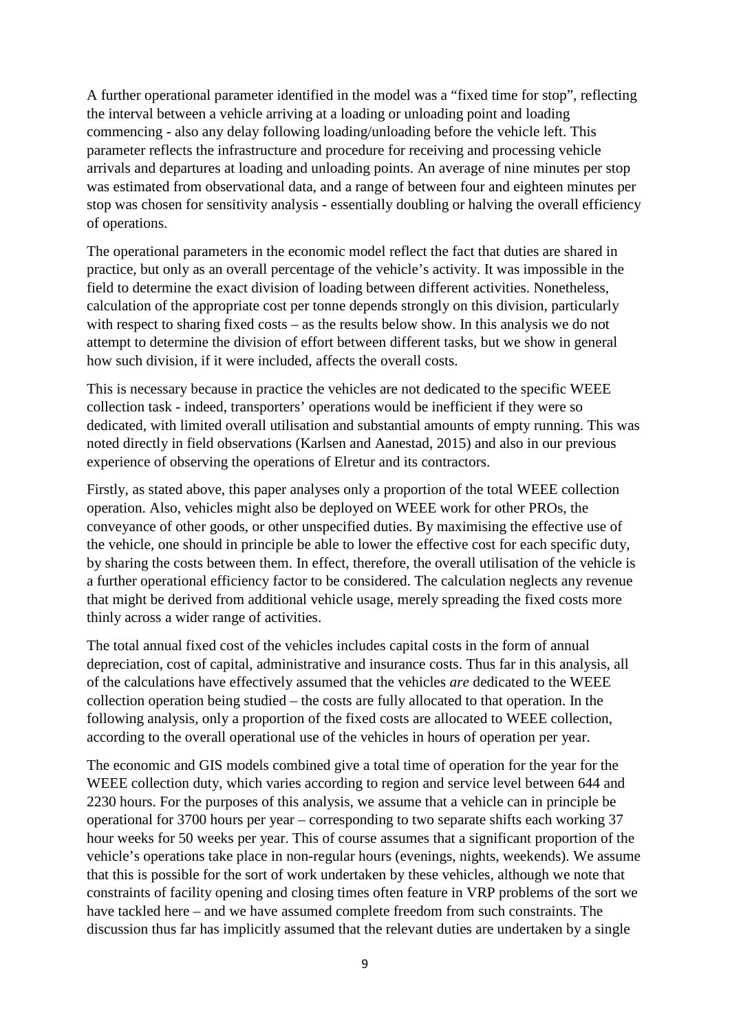A further operational parameter identified in the model was a "fixed time for stop", reflecting the interval between a vehicle arriving at a loading or unloading point and loading commencing - also any delay following loading/unloading before the vehicle left. This parameter reflects the infrastructure and procedure for receiving and processing vehicle arrivals and departures at loading and unloading points. An average of nine minutes per stop was estimated from observational data, and a range of between four and eighteen minutes per stop was chosen for sensitivity analysis - essentially doubling or halving the overall efficiency of operations.

The operational parameters in the economic model reflect the fact that duties are shared in practice, but only as an overall percentage of the vehicle's activity. It was impossible in the field to determine the exact division of loading between different activities. Nonetheless, calculation of the appropriate cost per tonne depends strongly on this division, particularly with respect to sharing fixed costs – as the results below show. In this analysis we do not attempt to determine the division of effort between different tasks, but we show in general how such division, if it were included, affects the overall costs.

This is necessary because in practice the vehicles are not dedicated to the specific WEEE collection task - indeed, transporters' operations would be inefficient if they were so dedicated, with limited overall utilisation and substantial amounts of empty running. This was noted directly in field observations (Karlsen and Aanestad, 2015) and also in our previous experience of observing the operations of Elretur and its contractors.

Firstly, as stated above, this paper analyses only a proportion of the total WEEE collection operation. Also, vehicles might also be deployed on WEEE work for other PROs, the conveyance of other goods, or other unspecified duties. By maximising the effective use of the vehicle, one should in principle be able to lower the effective cost for each specific duty, by sharing the costs between them. In effect, therefore, the overall utilisation of the vehicle is a further operational efficiency factor to be considered. The calculation neglects any revenue that might be derived from additional vehicle usage, merely spreading the fixed costs more thinly across a wider range of activities.

The total annual fixed cost of the vehicles includes capital costs in the form of annual depreciation, cost of capital, administrative and insurance costs. Thus far in this analysis, all of the calculations have effectively assumed that the vehicles *are* dedicated to the WEEE collection operation being studied – the costs are fully allocated to that operation. In the following analysis, only a proportion of the fixed costs are allocated to WEEE collection, according to the overall operational use of the vehicles in hours of operation per year.

The economic and GIS models combined give a total time of operation for the year for the WEEE collection duty, which varies according to region and service level between 644 and 2230 hours. For the purposes of this analysis, we assume that a vehicle can in principle be operational for 3700 hours per year – corresponding to two separate shifts each working 37 hour weeks for 50 weeks per year. This of course assumes that a significant proportion of the vehicle's operations take place in non-regular hours (evenings, nights, weekends). We assume that this is possible for the sort of work undertaken by these vehicles, although we note that constraints of facility opening and closing times often feature in VRP problems of the sort we have tackled here – and we have assumed complete freedom from such constraints. The discussion thus far has implicitly assumed that the relevant duties are undertaken by a single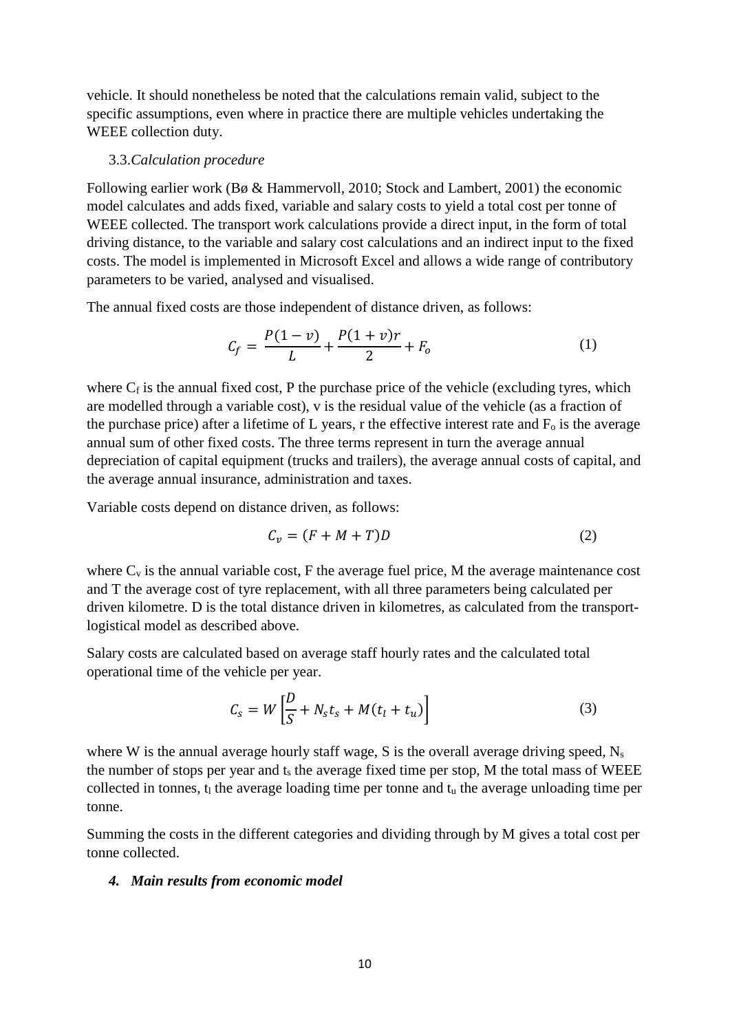vehicle. It should nonetheless be noted that the calculations remain valid, subject to the specific assumptions, even where in practice there are multiple vehicles undertaking the WEEE collection duty.

#### 3.3.*Calculation procedure*

Following earlier work (Bø & Hammervoll, 2010; Stock and Lambert, 2001) the economic model calculates and adds fixed, variable and salary costs to yield a total cost per tonne of WEEE collected. The transport work calculations provide a direct input, in the form of total driving distance, to the variable and salary cost calculations and an indirect input to the fixed costs. The model is implemented in Microsoft Excel and allows a wide range of contributory parameters to be varied, analysed and visualised.

The annual fixed costs are those independent of distance driven, as follows:

$$
C_f = \frac{P(1-v)}{L} + \frac{P(1+v)r}{2} + F_o \tag{1}
$$

where  $C_f$  is the annual fixed cost, P the purchase price of the vehicle (excluding tyres, which are modelled through a variable cost), v is the residual value of the vehicle (as a fraction of the purchase price) after a lifetime of L years, r the effective interest rate and  $F_0$  is the average annual sum of other fixed costs. The three terms represent in turn the average annual depreciation of capital equipment (trucks and trailers), the average annual costs of capital, and the average annual insurance, administration and taxes.

Variable costs depend on distance driven, as follows:

$$
C_v = (F + M + T)D \tag{2}
$$

where  $C<sub>v</sub>$  is the annual variable cost. F the average fuel price, M the average maintenance cost and T the average cost of tyre replacement, with all three parameters being calculated per driven kilometre. D is the total distance driven in kilometres, as calculated from the transportlogistical model as described above.

Salary costs are calculated based on average staff hourly rates and the calculated total operational time of the vehicle per year.

$$
C_s = W \left[ \frac{D}{S} + N_s t_s + M(t_l + t_u) \right]
$$
 (3)

where W is the annual average hourly staff wage, S is the overall average driving speed,  $N_s$ the number of stops per year and  $t_s$  the average fixed time per stop, M the total mass of WEEE collected in tonnes,  $t_1$  the average loading time per tonne and  $t_u$  the average unloading time per tonne.

Summing the costs in the different categories and dividing through by M gives a total cost per tonne collected.

#### *4. Main results from economic model*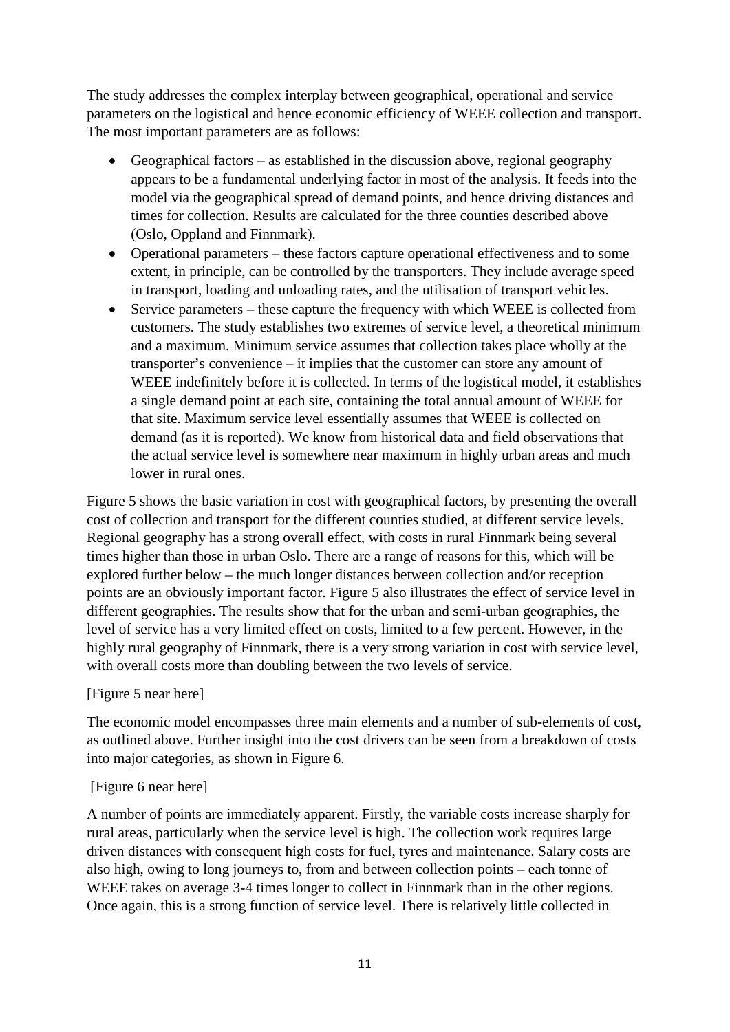The study addresses the complex interplay between geographical, operational and service parameters on the logistical and hence economic efficiency of WEEE collection and transport. The most important parameters are as follows:

- Geographical factors as established in the discussion above, regional geography appears to be a fundamental underlying factor in most of the analysis. It feeds into the model via the geographical spread of demand points, and hence driving distances and times for collection. Results are calculated for the three counties described above (Oslo, Oppland and Finnmark).
- Operational parameters these factors capture operational effectiveness and to some extent, in principle, can be controlled by the transporters. They include average speed in transport, loading and unloading rates, and the utilisation of transport vehicles.
- Service parameters these capture the frequency with which WEEE is collected from customers. The study establishes two extremes of service level, a theoretical minimum and a maximum. Minimum service assumes that collection takes place wholly at the transporter's convenience – it implies that the customer can store any amount of WEEE indefinitely before it is collected. In terms of the logistical model, it establishes a single demand point at each site, containing the total annual amount of WEEE for that site. Maximum service level essentially assumes that WEEE is collected on demand (as it is reported). We know from historical data and field observations that the actual service level is somewhere near maximum in highly urban areas and much lower in rural ones.

Figure 5 shows the basic variation in cost with geographical factors, by presenting the overall cost of collection and transport for the different counties studied, at different service levels. Regional geography has a strong overall effect, with costs in rural Finnmark being several times higher than those in urban Oslo. There are a range of reasons for this, which will be explored further below – the much longer distances between collection and/or reception points are an obviously important factor. Figure 5 also illustrates the effect of service level in different geographies. The results show that for the urban and semi-urban geographies, the level of service has a very limited effect on costs, limited to a few percent. However, in the highly rural geography of Finnmark, there is a very strong variation in cost with service level, with overall costs more than doubling between the two levels of service.

### [Figure 5 near here]

The economic model encompasses three main elements and a number of sub-elements of cost, as outlined above. Further insight into the cost drivers can be seen from a breakdown of costs into major categories, as shown in Figure 6.

### [Figure 6 near here]

A number of points are immediately apparent. Firstly, the variable costs increase sharply for rural areas, particularly when the service level is high. The collection work requires large driven distances with consequent high costs for fuel, tyres and maintenance. Salary costs are also high, owing to long journeys to, from and between collection points – each tonne of WEEE takes on average 3-4 times longer to collect in Finnmark than in the other regions. Once again, this is a strong function of service level. There is relatively little collected in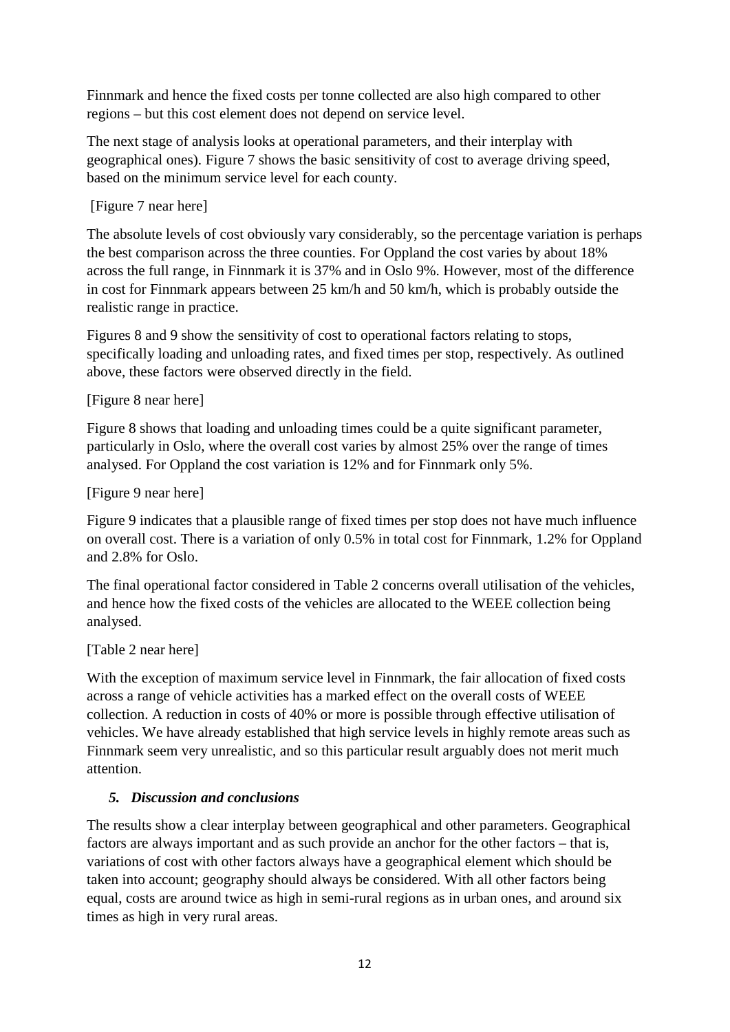Finnmark and hence the fixed costs per tonne collected are also high compared to other regions – but this cost element does not depend on service level.

The next stage of analysis looks at operational parameters, and their interplay with geographical ones). Figure 7 shows the basic sensitivity of cost to average driving speed, based on the minimum service level for each county.

[Figure 7 near here]

The absolute levels of cost obviously vary considerably, so the percentage variation is perhaps the best comparison across the three counties. For Oppland the cost varies by about 18% across the full range, in Finnmark it is 37% and in Oslo 9%. However, most of the difference in cost for Finnmark appears between 25 km/h and 50 km/h, which is probably outside the realistic range in practice.

Figures 8 and 9 show the sensitivity of cost to operational factors relating to stops, specifically loading and unloading rates, and fixed times per stop, respectively. As outlined above, these factors were observed directly in the field.

[Figure 8 near here]

Figure 8 shows that loading and unloading times could be a quite significant parameter, particularly in Oslo, where the overall cost varies by almost 25% over the range of times analysed. For Oppland the cost variation is 12% and for Finnmark only 5%.

[Figure 9 near here]

Figure 9 indicates that a plausible range of fixed times per stop does not have much influence on overall cost. There is a variation of only 0.5% in total cost for Finnmark, 1.2% for Oppland and 2.8% for Oslo.

The final operational factor considered in Table 2 concerns overall utilisation of the vehicles, and hence how the fixed costs of the vehicles are allocated to the WEEE collection being analysed.

[Table 2 near here]

With the exception of maximum service level in Finnmark, the fair allocation of fixed costs across a range of vehicle activities has a marked effect on the overall costs of WEEE collection. A reduction in costs of 40% or more is possible through effective utilisation of vehicles. We have already established that high service levels in highly remote areas such as Finnmark seem very unrealistic, and so this particular result arguably does not merit much attention.

# *5. Discussion and conclusions*

The results show a clear interplay between geographical and other parameters. Geographical factors are always important and as such provide an anchor for the other factors – that is, variations of cost with other factors always have a geographical element which should be taken into account; geography should always be considered. With all other factors being equal, costs are around twice as high in semi-rural regions as in urban ones, and around six times as high in very rural areas.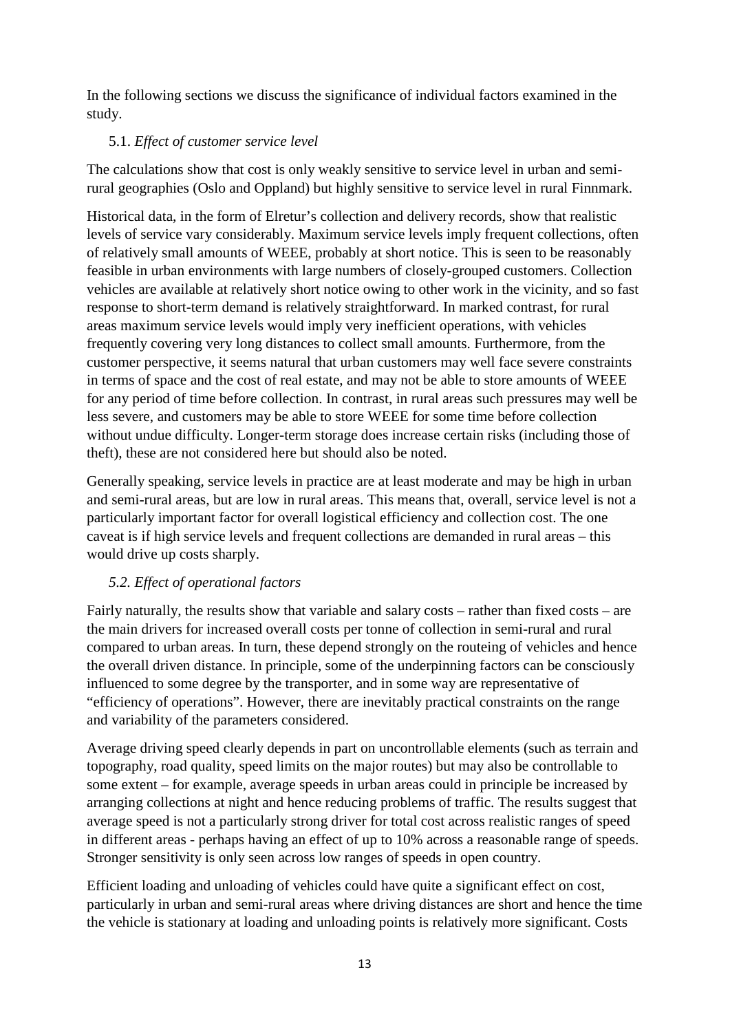In the following sections we discuss the significance of individual factors examined in the study.

# 5.1. *Effect of customer service level*

The calculations show that cost is only weakly sensitive to service level in urban and semirural geographies (Oslo and Oppland) but highly sensitive to service level in rural Finnmark.

Historical data, in the form of Elretur's collection and delivery records, show that realistic levels of service vary considerably. Maximum service levels imply frequent collections, often of relatively small amounts of WEEE, probably at short notice. This is seen to be reasonably feasible in urban environments with large numbers of closely-grouped customers. Collection vehicles are available at relatively short notice owing to other work in the vicinity, and so fast response to short-term demand is relatively straightforward. In marked contrast, for rural areas maximum service levels would imply very inefficient operations, with vehicles frequently covering very long distances to collect small amounts. Furthermore, from the customer perspective, it seems natural that urban customers may well face severe constraints in terms of space and the cost of real estate, and may not be able to store amounts of WEEE for any period of time before collection. In contrast, in rural areas such pressures may well be less severe, and customers may be able to store WEEE for some time before collection without undue difficulty. Longer-term storage does increase certain risks (including those of theft), these are not considered here but should also be noted.

Generally speaking, service levels in practice are at least moderate and may be high in urban and semi-rural areas, but are low in rural areas. This means that, overall, service level is not a particularly important factor for overall logistical efficiency and collection cost. The one caveat is if high service levels and frequent collections are demanded in rural areas – this would drive up costs sharply.

# *5.2. Effect of operational factors*

Fairly naturally, the results show that variable and salary costs – rather than fixed costs – are the main drivers for increased overall costs per tonne of collection in semi-rural and rural compared to urban areas. In turn, these depend strongly on the routeing of vehicles and hence the overall driven distance. In principle, some of the underpinning factors can be consciously influenced to some degree by the transporter, and in some way are representative of "efficiency of operations". However, there are inevitably practical constraints on the range and variability of the parameters considered.

Average driving speed clearly depends in part on uncontrollable elements (such as terrain and topography, road quality, speed limits on the major routes) but may also be controllable to some extent – for example, average speeds in urban areas could in principle be increased by arranging collections at night and hence reducing problems of traffic. The results suggest that average speed is not a particularly strong driver for total cost across realistic ranges of speed in different areas - perhaps having an effect of up to 10% across a reasonable range of speeds. Stronger sensitivity is only seen across low ranges of speeds in open country.

Efficient loading and unloading of vehicles could have quite a significant effect on cost, particularly in urban and semi-rural areas where driving distances are short and hence the time the vehicle is stationary at loading and unloading points is relatively more significant. Costs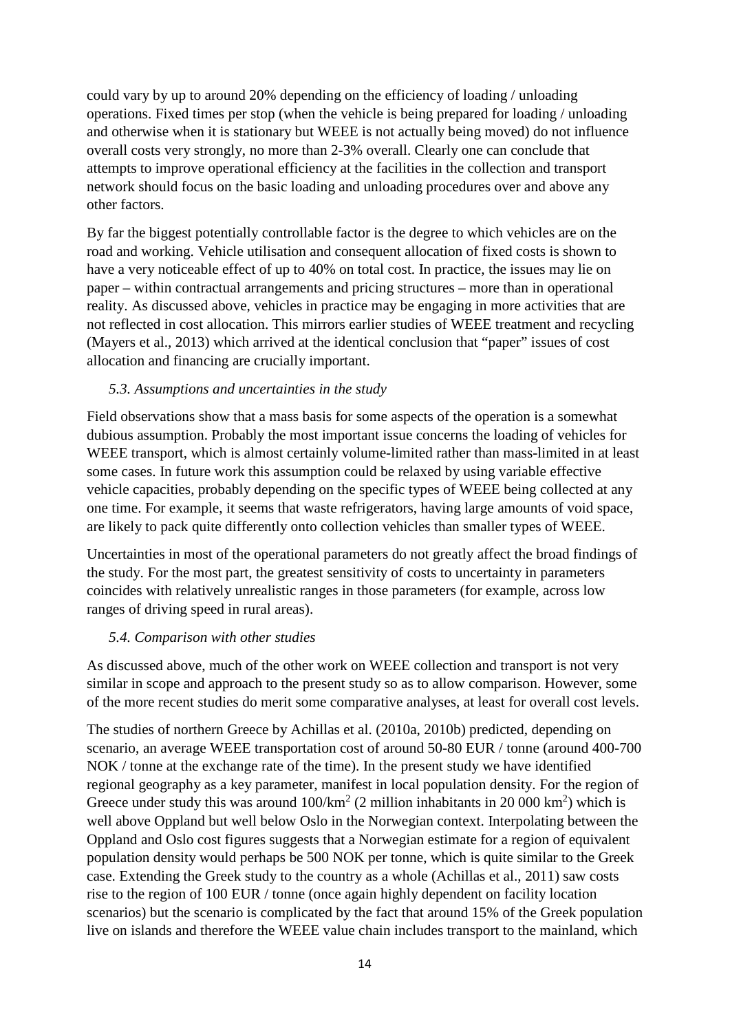could vary by up to around 20% depending on the efficiency of loading / unloading operations. Fixed times per stop (when the vehicle is being prepared for loading / unloading and otherwise when it is stationary but WEEE is not actually being moved) do not influence overall costs very strongly, no more than 2-3% overall. Clearly one can conclude that attempts to improve operational efficiency at the facilities in the collection and transport network should focus on the basic loading and unloading procedures over and above any other factors.

By far the biggest potentially controllable factor is the degree to which vehicles are on the road and working. Vehicle utilisation and consequent allocation of fixed costs is shown to have a very noticeable effect of up to 40% on total cost. In practice, the issues may lie on paper – within contractual arrangements and pricing structures – more than in operational reality. As discussed above, vehicles in practice may be engaging in more activities that are not reflected in cost allocation. This mirrors earlier studies of WEEE treatment and recycling (Mayers et al., 2013) which arrived at the identical conclusion that "paper" issues of cost allocation and financing are crucially important.

# *5.3. Assumptions and uncertainties in the study*

Field observations show that a mass basis for some aspects of the operation is a somewhat dubious assumption. Probably the most important issue concerns the loading of vehicles for WEEE transport, which is almost certainly volume-limited rather than mass-limited in at least some cases. In future work this assumption could be relaxed by using variable effective vehicle capacities, probably depending on the specific types of WEEE being collected at any one time. For example, it seems that waste refrigerators, having large amounts of void space, are likely to pack quite differently onto collection vehicles than smaller types of WEEE.

Uncertainties in most of the operational parameters do not greatly affect the broad findings of the study. For the most part, the greatest sensitivity of costs to uncertainty in parameters coincides with relatively unrealistic ranges in those parameters (for example, across low ranges of driving speed in rural areas).

### *5.4. Comparison with other studies*

As discussed above, much of the other work on WEEE collection and transport is not very similar in scope and approach to the present study so as to allow comparison. However, some of the more recent studies do merit some comparative analyses, at least for overall cost levels.

The studies of northern Greece by Achillas et al. (2010a, 2010b) predicted, depending on scenario, an average WEEE transportation cost of around 50-80 EUR / tonne (around 400-700 NOK / tonne at the exchange rate of the time). In the present study we have identified regional geography as a key parameter, manifest in local population density. For the region of Greece under study this was around  $100/km^2$  (2 million inhabitants in 20 000 km<sup>2</sup>) which is well above Oppland but well below Oslo in the Norwegian context. Interpolating between the Oppland and Oslo cost figures suggests that a Norwegian estimate for a region of equivalent population density would perhaps be 500 NOK per tonne, which is quite similar to the Greek case. Extending the Greek study to the country as a whole (Achillas et al., 2011) saw costs rise to the region of 100 EUR / tonne (once again highly dependent on facility location scenarios) but the scenario is complicated by the fact that around 15% of the Greek population live on islands and therefore the WEEE value chain includes transport to the mainland, which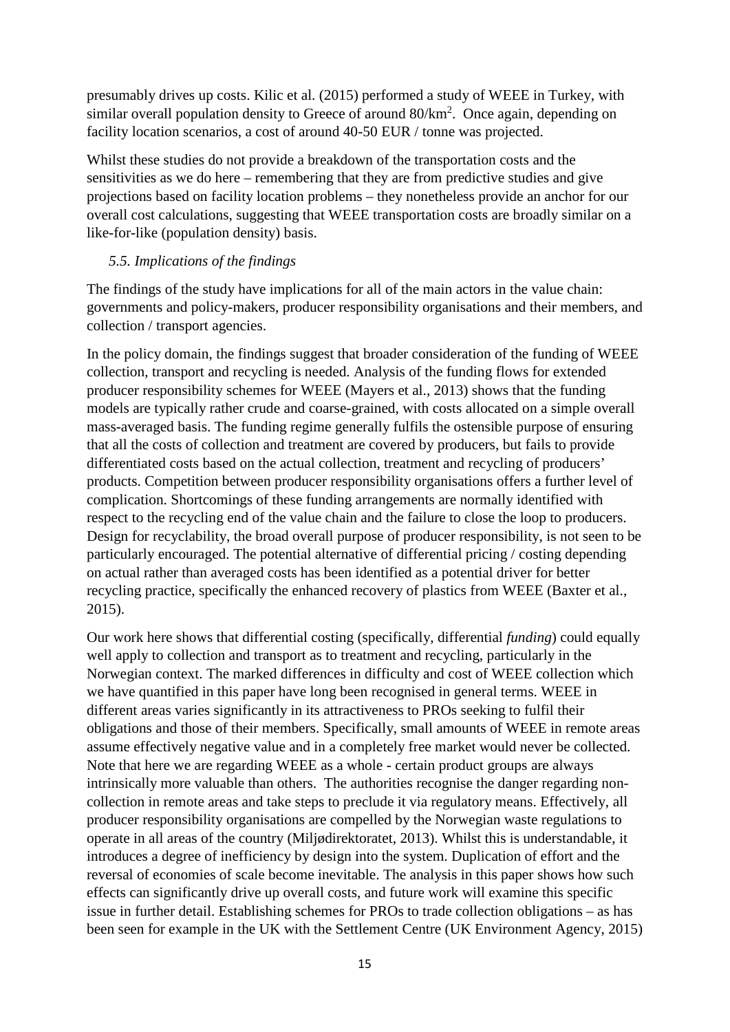presumably drives up costs. Kilic et al. (2015) performed a study of WEEE in Turkey, with similar overall population density to Greece of around  $80/km^2$ . Once again, depending on facility location scenarios, a cost of around 40-50 EUR / tonne was projected.

Whilst these studies do not provide a breakdown of the transportation costs and the sensitivities as we do here – remembering that they are from predictive studies and give projections based on facility location problems – they nonetheless provide an anchor for our overall cost calculations, suggesting that WEEE transportation costs are broadly similar on a like-for-like (population density) basis.

# *5.5. Implications of the findings*

The findings of the study have implications for all of the main actors in the value chain: governments and policy-makers, producer responsibility organisations and their members, and collection / transport agencies.

In the policy domain, the findings suggest that broader consideration of the funding of WEEE collection, transport and recycling is needed. Analysis of the funding flows for extended producer responsibility schemes for WEEE (Mayers et al., 2013) shows that the funding models are typically rather crude and coarse-grained, with costs allocated on a simple overall mass-averaged basis. The funding regime generally fulfils the ostensible purpose of ensuring that all the costs of collection and treatment are covered by producers, but fails to provide differentiated costs based on the actual collection, treatment and recycling of producers' products. Competition between producer responsibility organisations offers a further level of complication. Shortcomings of these funding arrangements are normally identified with respect to the recycling end of the value chain and the failure to close the loop to producers. Design for recyclability, the broad overall purpose of producer responsibility, is not seen to be particularly encouraged. The potential alternative of differential pricing / costing depending on actual rather than averaged costs has been identified as a potential driver for better recycling practice, specifically the enhanced recovery of plastics from WEEE (Baxter et al., 2015).

Our work here shows that differential costing (specifically, differential *funding*) could equally well apply to collection and transport as to treatment and recycling, particularly in the Norwegian context. The marked differences in difficulty and cost of WEEE collection which we have quantified in this paper have long been recognised in general terms. WEEE in different areas varies significantly in its attractiveness to PROs seeking to fulfil their obligations and those of their members. Specifically, small amounts of WEEE in remote areas assume effectively negative value and in a completely free market would never be collected. Note that here we are regarding WEEE as a whole - certain product groups are always intrinsically more valuable than others. The authorities recognise the danger regarding noncollection in remote areas and take steps to preclude it via regulatory means. Effectively, all producer responsibility organisations are compelled by the Norwegian waste regulations to operate in all areas of the country (Miljødirektoratet, 2013). Whilst this is understandable, it introduces a degree of inefficiency by design into the system. Duplication of effort and the reversal of economies of scale become inevitable. The analysis in this paper shows how such effects can significantly drive up overall costs, and future work will examine this specific issue in further detail. Establishing schemes for PROs to trade collection obligations – as has been seen for example in the UK with the Settlement Centre (UK Environment Agency, 2015)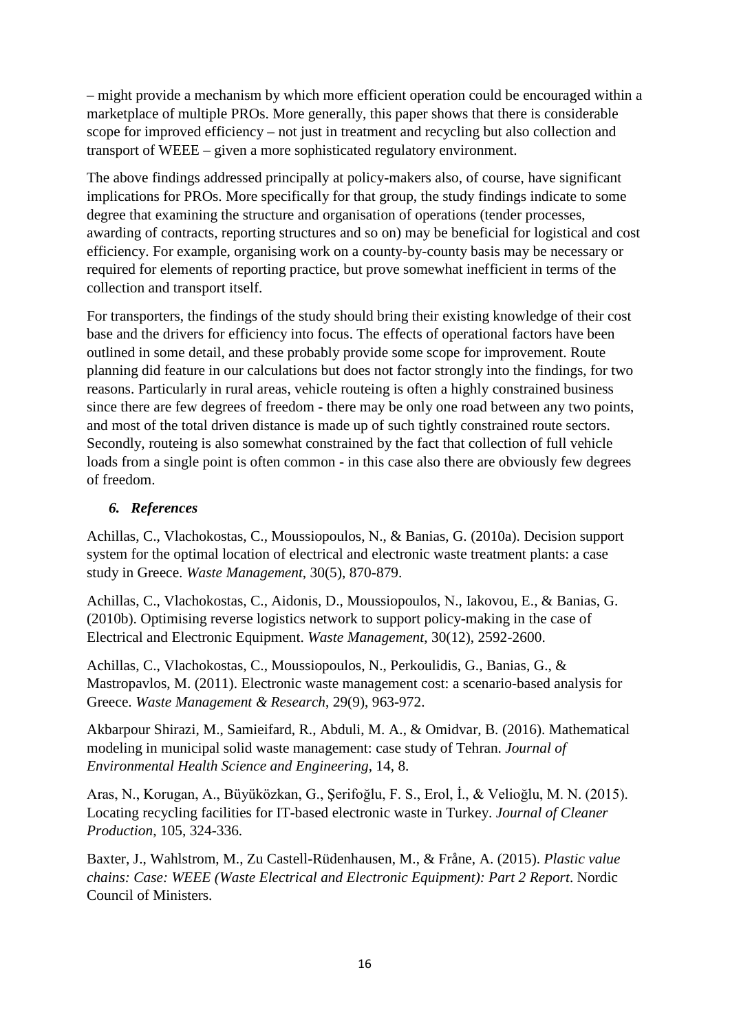– might provide a mechanism by which more efficient operation could be encouraged within a marketplace of multiple PROs. More generally, this paper shows that there is considerable scope for improved efficiency – not just in treatment and recycling but also collection and transport of WEEE – given a more sophisticated regulatory environment.

The above findings addressed principally at policy-makers also, of course, have significant implications for PROs. More specifically for that group, the study findings indicate to some degree that examining the structure and organisation of operations (tender processes, awarding of contracts, reporting structures and so on) may be beneficial for logistical and cost efficiency. For example, organising work on a county-by-county basis may be necessary or required for elements of reporting practice, but prove somewhat inefficient in terms of the collection and transport itself.

For transporters, the findings of the study should bring their existing knowledge of their cost base and the drivers for efficiency into focus. The effects of operational factors have been outlined in some detail, and these probably provide some scope for improvement. Route planning did feature in our calculations but does not factor strongly into the findings, for two reasons. Particularly in rural areas, vehicle routeing is often a highly constrained business since there are few degrees of freedom - there may be only one road between any two points, and most of the total driven distance is made up of such tightly constrained route sectors. Secondly, routeing is also somewhat constrained by the fact that collection of full vehicle loads from a single point is often common - in this case also there are obviously few degrees of freedom.

# *6. References*

Achillas, C., Vlachokostas, C., Moussiopoulos, Ν., & Banias, G. (2010a). Decision support system for the optimal location of electrical and electronic waste treatment plants: a case study in Greece. *Waste Management*, 30(5), 870-879.

Achillas, C., Vlachokostas, C., Aidonis, D., Moussiopoulos, Ν., Iakovou, E., & Banias, G. (2010b). Optimising reverse logistics network to support policy-making in the case of Electrical and Electronic Equipment. *Waste Management*, 30(12), 2592-2600.

Achillas, C., Vlachokostas, C., Moussiopoulos, N., Perkoulidis, G., Banias, G., & Mastropavlos, M. (2011). Electronic waste management cost: a scenario-based analysis for Greece. *Waste Management & Research*, 29(9), 963-972.

Akbarpour Shirazi, M., Samieifard, R., Abduli, M. A., & Omidvar, B. (2016). Mathematical modeling in municipal solid waste management: case study of Tehran. *Journal of Environmental Health Science and Engineering*, 14, 8.

Aras, N., Korugan, A., Büyüközkan, G., Şerifoğlu, F. S., Erol, İ., & Velioğlu, M. N. (2015). Locating recycling facilities for IT-based electronic waste in Turkey. *Journal of Cleaner Production*, 105, 324-336.

Baxter, J., Wahlstrom, M., Zu Castell-Rüdenhausen, M., & Fråne, A. (2015). *Plastic value chains: Case: WEEE (Waste Electrical and Electronic Equipment): Part 2 Report*. Nordic Council of Ministers.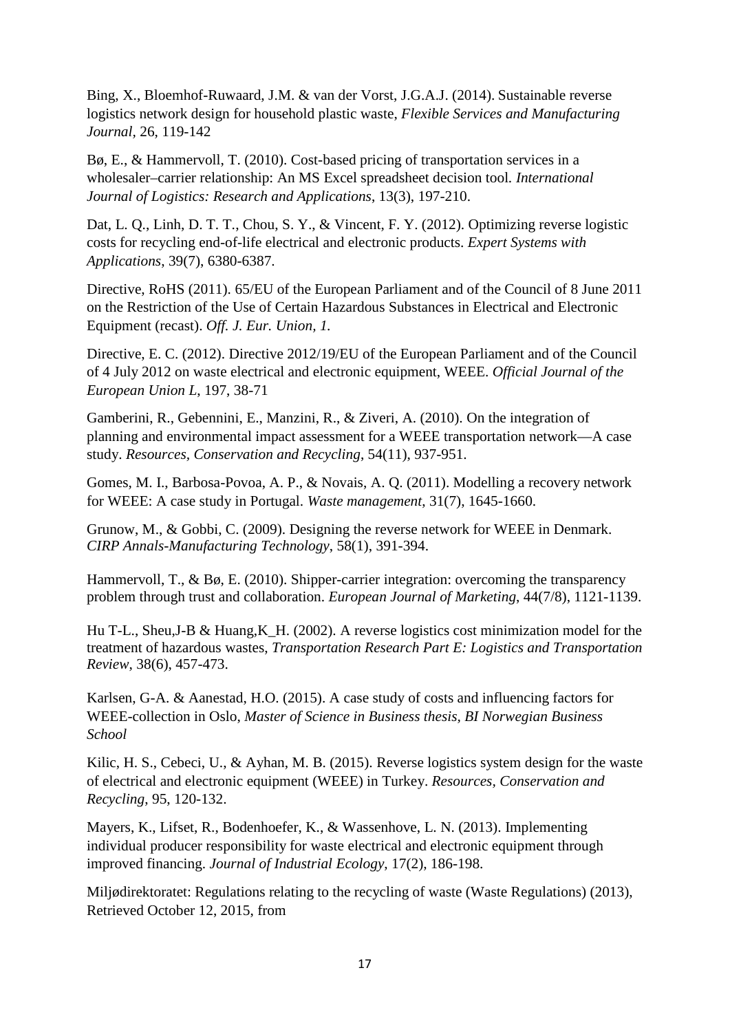Bing, X., Bloemhof-Ruwaard, J.M. & van der Vorst, J.G.A.J. (2014). Sustainable reverse logistics network design for household plastic waste, *Flexible Services and Manufacturing Journal,* 26, 119-142

Bø, E., & Hammervoll, T. (2010). Cost-based pricing of transportation services in a wholesaler–carrier relationship: An MS Excel spreadsheet decision tool*. International Journal of Logistics: Research and Applications*, 13(3), 197-210.

Dat, L. Q., Linh, D. T. T., Chou, S. Y., & Vincent, F. Y. (2012). Optimizing reverse logistic costs for recycling end-of-life electrical and electronic products. *Expert Systems with Applications*, 39(7), 6380-6387.

Directive, RoHS (2011). 65/EU of the European Parliament and of the Council of 8 June 2011 on the Restriction of the Use of Certain Hazardous Substances in Electrical and Electronic Equipment (recast). *Off. J. Eur. Union, 1.*

Directive, E. C. (2012). Directive 2012/19/EU of the European Parliament and of the Council of 4 July 2012 on waste electrical and electronic equipment, WEEE. *Official Journal of the European Union L*, 197, 38-71

Gamberini, R., Gebennini, E., Manzini, R., & Ziveri, A. (2010). On the integration of planning and environmental impact assessment for a WEEE transportation network—A case study. *Resources, Conservation and Recycling*, 54(11), 937-951.

Gomes, M. I., Barbosa-Povoa, A. P., & Novais, A. Q. (2011). Modelling a recovery network for WEEE: A case study in Portugal. *Waste management*, 31(7), 1645-1660.

Grunow, M., & Gobbi, C. (2009). Designing the reverse network for WEEE in Denmark. *CIRP Annals-Manufacturing Technology*, 58(1), 391-394.

Hammervoll, T., & Bø, E. (2010). Shipper-carrier integration: overcoming the transparency problem through trust and collaboration. *European Journal of Marketing*, 44(7/8), 1121-1139.

Hu T-L., Sheu, J-B & Huang, K H. (2002). A reverse logistics cost minimization model for the treatment of hazardous wastes, *Transportation Research Part E: Logistics and Transportation Review*, 38(6), 457-473.

Karlsen, G-A. & Aanestad, H.O. (2015). A case study of costs and influencing factors for WEEE-collection in Oslo, *Master of Science in Business thesis, BI Norwegian Business School*

Kilic, H. S., Cebeci, U., & Ayhan, M. B. (2015). Reverse logistics system design for the waste of electrical and electronic equipment (WEEE) in Turkey. *Resources, Conservation and Recycling*, 95, 120-132.

Mayers, K., Lifset, R., Bodenhoefer, K., & Wassenhove, L. N. (2013). Implementing individual producer responsibility for waste electrical and electronic equipment through improved financing. *Journal of Industrial Ecology*, 17(2), 186-198.

Miljødirektoratet: Regulations relating to the recycling of waste (Waste Regulations) (2013), Retrieved October 12, 2015, from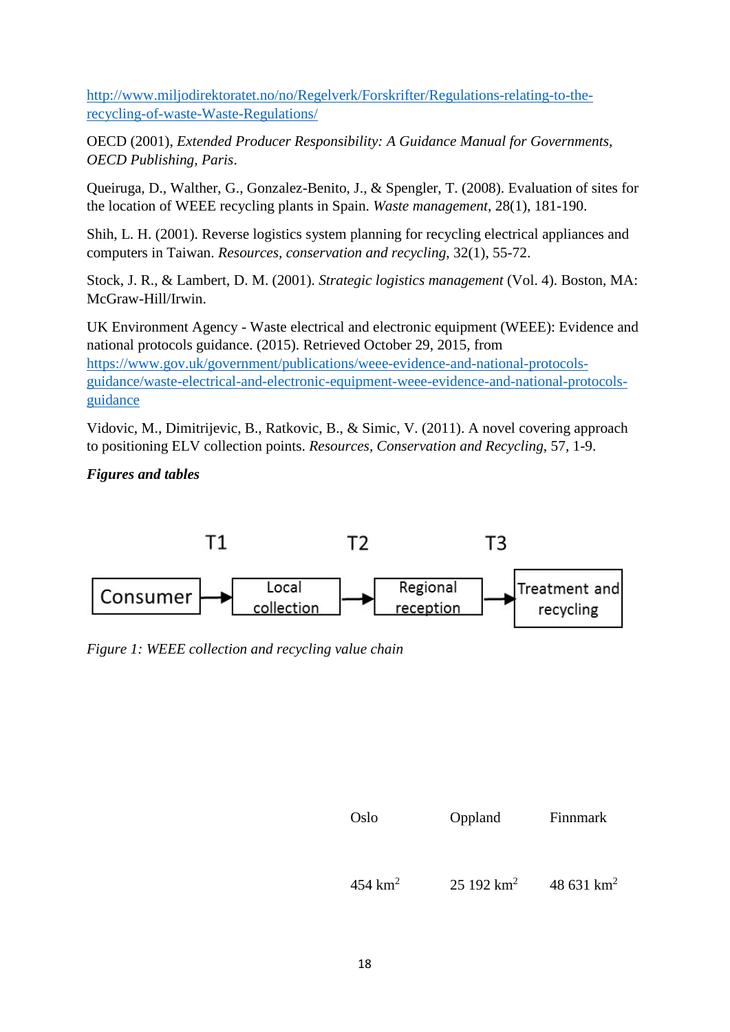[http://www.miljodirektoratet.no/no/Regelverk/Forskrifter/Regulations-relating-to-the](http://www.miljodirektoratet.no/no/Regelverk/Forskrifter/Regulations-relating-to-the-recycling-of-waste-Waste-Regulations/)[recycling-of-waste-Waste-Regulations/](http://www.miljodirektoratet.no/no/Regelverk/Forskrifter/Regulations-relating-to-the-recycling-of-waste-Waste-Regulations/)

OECD (2001), *Extended Producer Responsibility: A Guidance Manual for Governments, OECD Publishing, Paris*.

Queiruga, D., Walther, G., Gonzalez-Benito, J., & Spengler, T. (2008). Evaluation of sites for the location of WEEE recycling plants in Spain. *Waste management*, 28(1), 181-190.

Shih, L. H. (2001). Reverse logistics system planning for recycling electrical appliances and computers in Taiwan. *Resources, conservation and recycling*, 32(1), 55-72.

Stock, J. R., & Lambert, D. M. (2001). *Strategic logistics management* (Vol. 4). Boston, MA: McGraw-Hill/Irwin.

UK Environment Agency - Waste electrical and electronic equipment (WEEE): Evidence and national protocols guidance. (2015). Retrieved October 29, 2015, from [https://www.gov.uk/government/publications/weee-evidence-and-national-protocols](https://www.gov.uk/government/publications/weee-evidence-and-national-protocols-guidance/waste-electrical-and-electronic-equipment-weee-evidence-and-national-protocols-guidance)[guidance/waste-electrical-and-electronic-equipment-weee-evidence-and-national-protocols](https://www.gov.uk/government/publications/weee-evidence-and-national-protocols-guidance/waste-electrical-and-electronic-equipment-weee-evidence-and-national-protocols-guidance)[guidance](https://www.gov.uk/government/publications/weee-evidence-and-national-protocols-guidance/waste-electrical-and-electronic-equipment-weee-evidence-and-national-protocols-guidance)

Vidovic, M., Dimitrijevic, B., Ratkovic, B., & Simic, V. (2011). A novel covering approach to positioning ELV collection points. *Resources, Conservation and Recycling*, 57, 1-9.

*Figures and tables*



*Figure 1: WEEE collection and recycling value chain*

| Oslo               | Oppland              | Finnmark      |  |
|--------------------|----------------------|---------------|--|
|                    |                      |               |  |
| $454 \text{ km}^2$ | $25192 \text{ km}^2$ | 48 631 $km^2$ |  |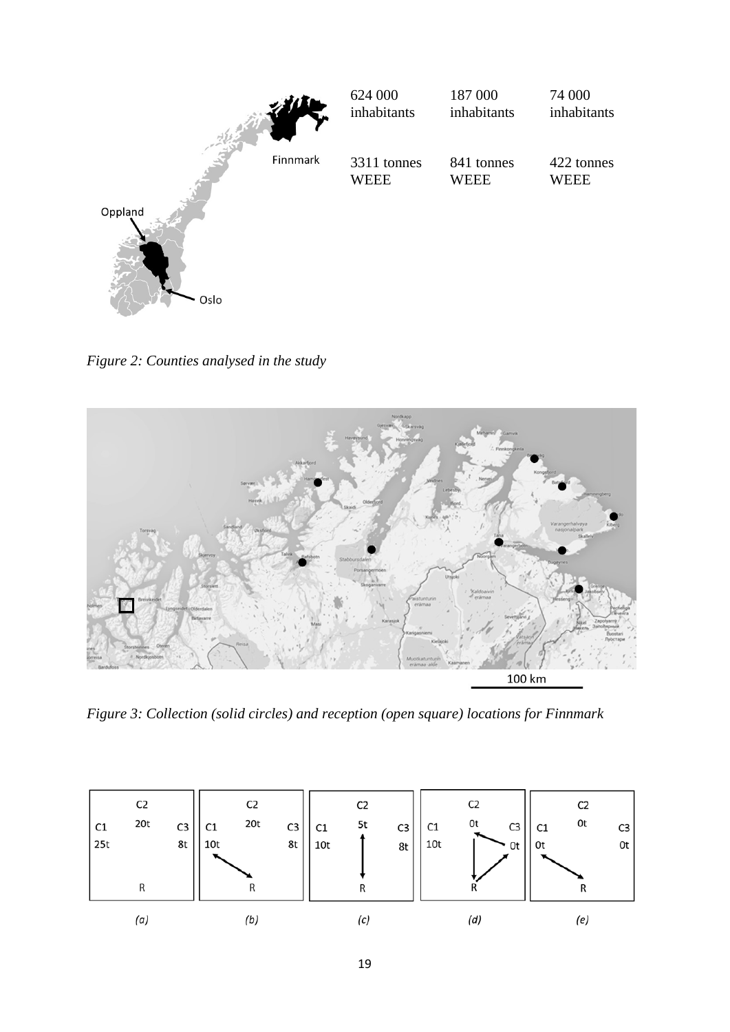

*Figure 2: Counties analysed in the study*



*Figure 3: Collection (solid circles) and reception (open square) locations for Finnmark*

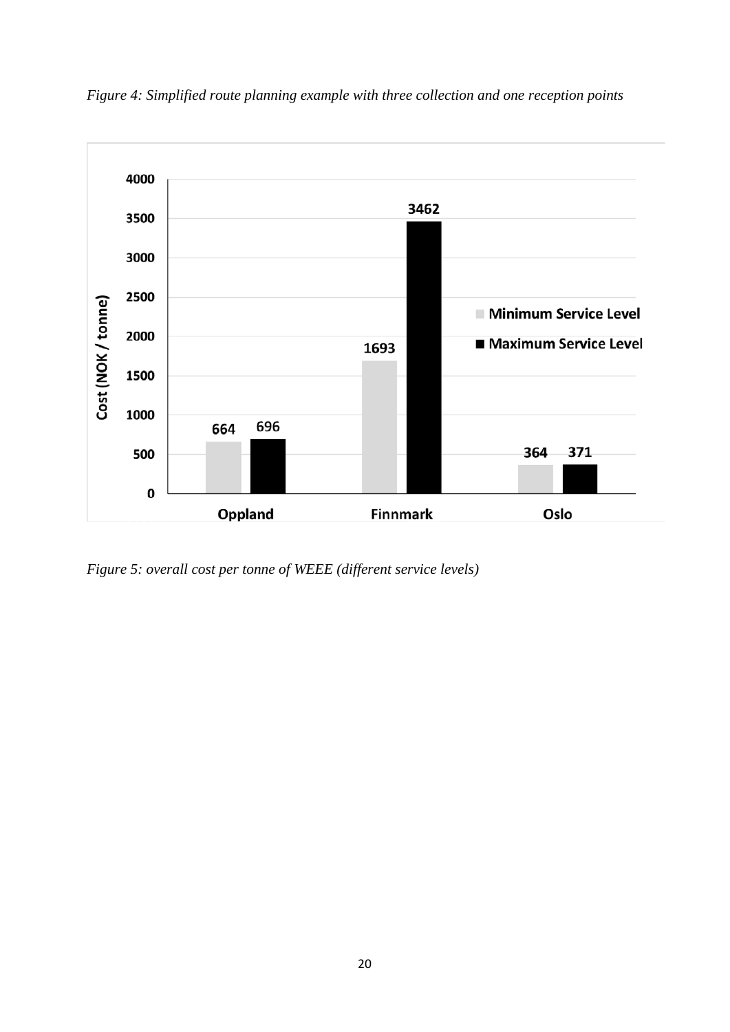

*Figure 4: Simplified route planning example with three collection and one reception points* 

*Figure 5: overall cost per tonne of WEEE (different service levels)*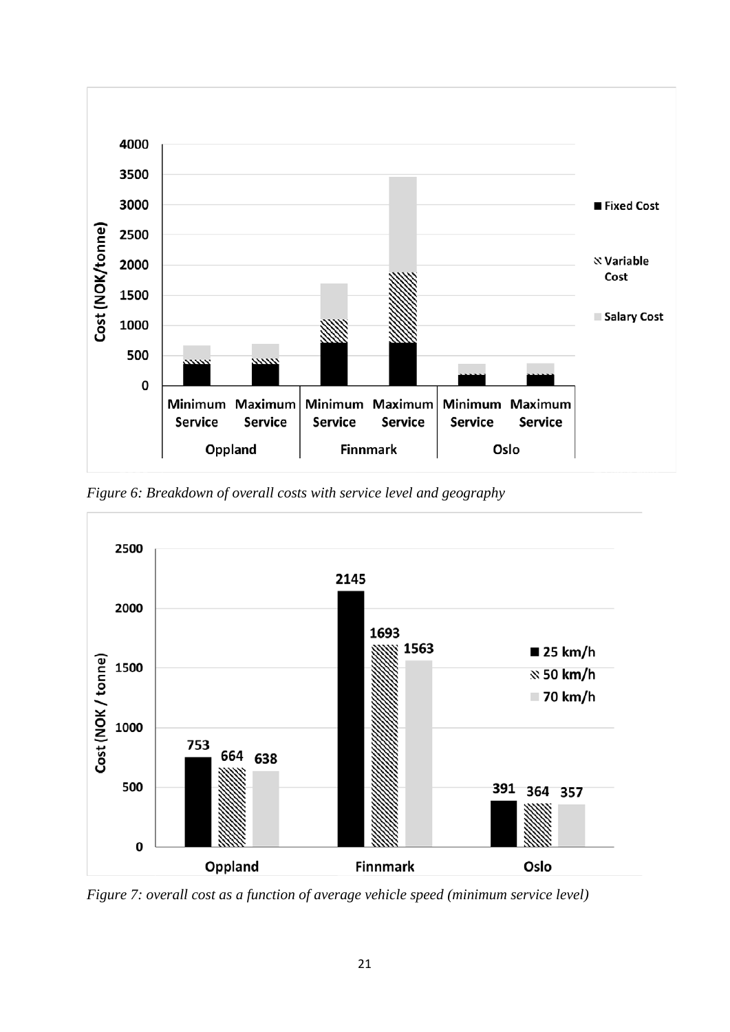

*Figure 6: Breakdown of overall costs with service level and geography*



*Figure 7: overall cost as a function of average vehicle speed (minimum service level)*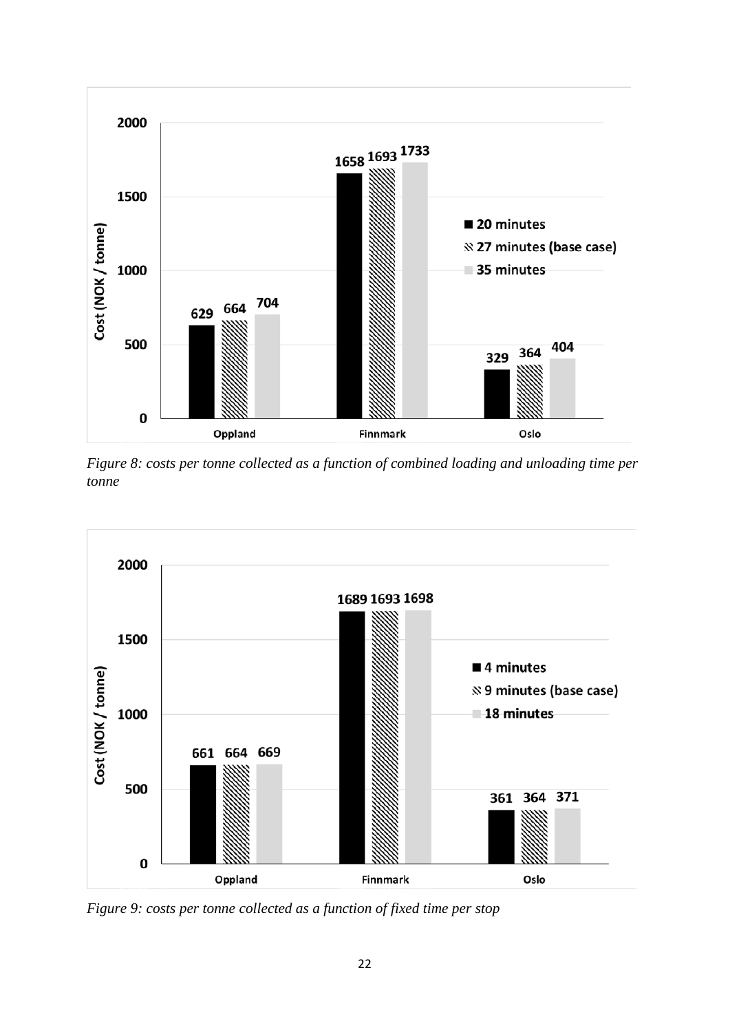

*Figure 8: costs per tonne collected as a function of combined loading and unloading time per tonne*



*Figure 9: costs per tonne collected as a function of fixed time per stop*